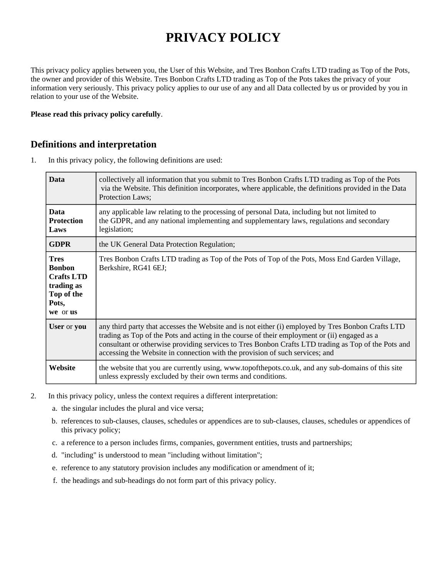# **PRIVACY POLICY**

This privacy policy applies between you, the User of this Website, and Tres Bonbon Crafts LTD trading as Top of the Pots, the owner and provider of this Website. Tres Bonbon Crafts LTD trading as Top of the Pots takes the privacy of your information very seriously. This privacy policy applies to our use of any and all Data collected by us or provided by you in relation to your use of the Website.

#### **Please read this privacy policy carefully**.

### **Definitions and interpretation**

1. In this privacy policy, the following definitions are used:

| <b>Data</b>                                                                                        | collectively all information that you submit to Tres Bonbon Crafts LTD trading as Top of the Pots<br>via the Website. This definition incorporates, where applicable, the definitions provided in the Data<br>Protection Laws;                                                                                                                                                            |
|----------------------------------------------------------------------------------------------------|-------------------------------------------------------------------------------------------------------------------------------------------------------------------------------------------------------------------------------------------------------------------------------------------------------------------------------------------------------------------------------------------|
| <b>Data</b><br><b>Protection</b><br>Laws                                                           | any applicable law relating to the processing of personal Data, including but not limited to<br>the GDPR, and any national implementing and supplementary laws, regulations and secondary<br>legislation;                                                                                                                                                                                 |
| <b>GDPR</b>                                                                                        | the UK General Data Protection Regulation;                                                                                                                                                                                                                                                                                                                                                |
| <b>Tres</b><br><b>Bonbon</b><br><b>Crafts LTD</b><br>trading as<br>Top of the<br>Pots,<br>we or us | Tres Bonbon Crafts LTD trading as Top of the Pots of Top of the Pots, Moss End Garden Village,<br>Berkshire, RG41 6EJ;                                                                                                                                                                                                                                                                    |
| User or you                                                                                        | any third party that accesses the Website and is not either (i) employed by Tres Bonbon Crafts LTD<br>trading as Top of the Pots and acting in the course of their employment or (ii) engaged as a<br>consultant or otherwise providing services to Tres Bonbon Crafts LTD trading as Top of the Pots and<br>accessing the Website in connection with the provision of such services; and |
| Website                                                                                            | the website that you are currently using, www.topofthepots.co.uk, and any sub-domains of this site<br>unless expressly excluded by their own terms and conditions.                                                                                                                                                                                                                        |

- 2. In this privacy policy, unless the context requires a different interpretation:
	- a. the singular includes the plural and vice versa;
	- b. references to sub-clauses, clauses, schedules or appendices are to sub-clauses, clauses, schedules or appendices of this privacy policy;
	- c. a reference to a person includes firms, companies, government entities, trusts and partnerships;
	- d. "including" is understood to mean "including without limitation";
	- e. reference to any statutory provision includes any modification or amendment of it;
	- f. the headings and sub-headings do not form part of this privacy policy.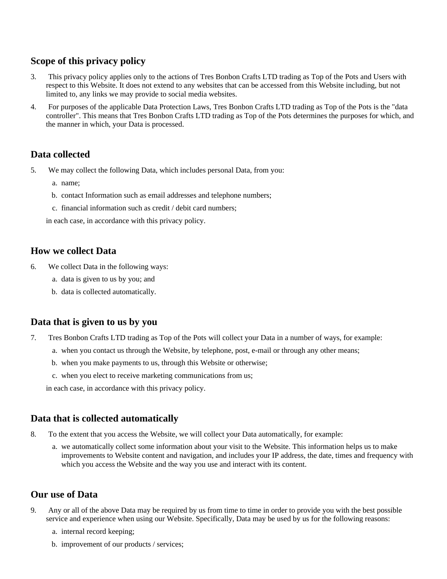## **Scope of this privacy policy**

- 3. This privacy policy applies only to the actions of Tres Bonbon Crafts LTD trading as Top of the Pots and Users with respect to this Website. It does not extend to any websites that can be accessed from this Website including, but not limited to, any links we may provide to social media websites.
- 4. For purposes of the applicable Data Protection Laws, Tres Bonbon Crafts LTD trading as Top of the Pots is the "data controller". This means that Tres Bonbon Crafts LTD trading as Top of the Pots determines the purposes for which, and the manner in which, your Data is processed.

## **Data collected**

- 5. We may collect the following Data, which includes personal Data, from you:
	- a. name;
	- b. contact Information such as email addresses and telephone numbers;
	- c. financial information such as credit / debit card numbers;

in each case, in accordance with this privacy policy.

## **How we collect Data**

- 6. We collect Data in the following ways:
	- a. data is given to us by you; and
	- b. data is collected automatically.

## **Data that is given to us by you**

- 7. Tres Bonbon Crafts LTD trading as Top of the Pots will collect your Data in a number of ways, for example:
	- a. when you contact us through the Website, by telephone, post, e-mail or through any other means;
	- b. when you make payments to us, through this Website or otherwise;
	- c. when you elect to receive marketing communications from us;

in each case, in accordance with this privacy policy.

## **Data that is collected automatically**

- 8. To the extent that you access the Website, we will collect your Data automatically, for example:
	- a. we automatically collect some information about your visit to the Website. This information helps us to make improvements to Website content and navigation, and includes your IP address, the date, times and frequency with which you access the Website and the way you use and interact with its content.

## **Our use of Data**

- 9. Any or all of the above Data may be required by us from time to time in order to provide you with the best possible service and experience when using our Website. Specifically, Data may be used by us for the following reasons:
	- a. internal record keeping;
	- b. improvement of our products / services;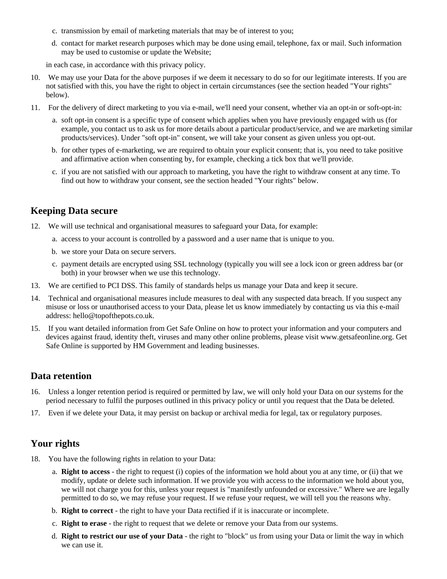- c. transmission by email of marketing materials that may be of interest to you;
- d. contact for market research purposes which may be done using email, telephone, fax or mail. Such information may be used to customise or update the Website;

in each case, in accordance with this privacy policy.

- 10. We may use your Data for the above purposes if we deem it necessary to do so for our legitimate interests. If you are not satisfied with this, you have the right to object in certain circumstances (see the section headed "Your rights" below).
- 11. For the delivery of direct marketing to you via e-mail, we'll need your consent, whether via an opt-in or soft-opt-in:
	- a. soft opt-in consent is a specific type of consent which applies when you have previously engaged with us (for example, you contact us to ask us for more details about a particular product/service, and we are marketing similar products/services). Under "soft opt-in" consent, we will take your consent as given unless you opt-out.
	- b. for other types of e-marketing, we are required to obtain your explicit consent; that is, you need to take positive and affirmative action when consenting by, for example, checking a tick box that we'll provide.
	- c. if you are not satisfied with our approach to marketing, you have the right to withdraw consent at any time. To find out how to withdraw your consent, see the section headed "Your rights" below.

#### **Keeping Data secure**

- 12. We will use technical and organisational measures to safeguard your Data, for example:
	- a. access to your account is controlled by a password and a user name that is unique to you.
	- b. we store your Data on secure servers.
	- c. payment details are encrypted using SSL technology (typically you will see a lock icon or green address bar (or both) in your browser when we use this technology.
- 13. We are certified to PCI DSS. This family of standards helps us manage your Data and keep it secure.
- 14. Technical and organisational measures include measures to deal with any suspected data breach. If you suspect any misuse or loss or unauthorised access to your Data, please let us know immediately by contacting us via this e-mail address: hello@topofthepots.co.uk.
- 15. If you want detailed information from Get Safe Online on how to protect your information and your computers and devices against fraud, identity theft, viruses and many other online problems, please visit www.getsafeonline.org. Get Safe Online is supported by HM Government and leading businesses.

#### **Data retention**

- 16. Unless a longer retention period is required or permitted by law, we will only hold your Data on our systems for the period necessary to fulfil the purposes outlined in this privacy policy or until you request that the Data be deleted.
- 17. Even if we delete your Data, it may persist on backup or archival media for legal, tax or regulatory purposes.

### **Your rights**

- 18. You have the following rights in relation to your Data:
	- a. **Right to access** the right to request (i) copies of the information we hold about you at any time, or (ii) that we modify, update or delete such information. If we provide you with access to the information we hold about you, we will not charge you for this, unless your request is "manifestly unfounded or excessive." Where we are legally permitted to do so, we may refuse your request. If we refuse your request, we will tell you the reasons why.
	- b. **Right to correct** the right to have your Data rectified if it is inaccurate or incomplete.
	- c. **Right to erase** the right to request that we delete or remove your Data from our systems.
	- d. **Right to restrict our use of your Data** the right to "block" us from using your Data or limit the way in which we can use it.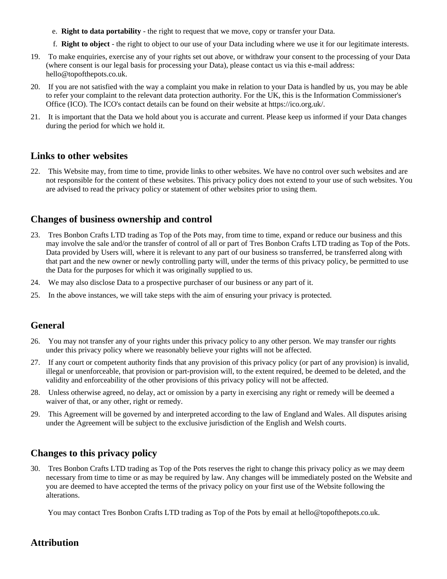- e. **Right to data portability** the right to request that we move, copy or transfer your Data.
- f. **Right to object** the right to object to our use of your Data including where we use it for our legitimate interests.
- 19. To make enquiries, exercise any of your rights set out above, or withdraw your consent to the processing of your Data (where consent is our legal basis for processing your Data), please contact us via this e-mail address: hello@topofthepots.co.uk.
- 20. If you are not satisfied with the way a complaint you make in relation to your Data is handled by us, you may be able to refer your complaint to the relevant data protection authority. For the UK, this is the Information Commissioner's Office (ICO). The ICO's contact details can be found on their website at https://ico.org.uk/.
- 21. It is important that the Data we hold about you is accurate and current. Please keep us informed if your Data changes during the period for which we hold it.

### **Links to other websites**

22. This Website may, from time to time, provide links to other websites. We have no control over such websites and are not responsible for the content of these websites. This privacy policy does not extend to your use of such websites. You are advised to read the privacy policy or statement of other websites prior to using them.

## **Changes of business ownership and control**

- 23. Tres Bonbon Crafts LTD trading as Top of the Pots may, from time to time, expand or reduce our business and this may involve the sale and/or the transfer of control of all or part of Tres Bonbon Crafts LTD trading as Top of the Pots. Data provided by Users will, where it is relevant to any part of our business so transferred, be transferred along with that part and the new owner or newly controlling party will, under the terms of this privacy policy, be permitted to use the Data for the purposes for which it was originally supplied to us.
- 24. We may also disclose Data to a prospective purchaser of our business or any part of it.
- 25. In the above instances, we will take steps with the aim of ensuring your privacy is protected.

## **General**

- 26. You may not transfer any of your rights under this privacy policy to any other person. We may transfer our rights under this privacy policy where we reasonably believe your rights will not be affected.
- 27. If any court or competent authority finds that any provision of this privacy policy (or part of any provision) is invalid, illegal or unenforceable, that provision or part-provision will, to the extent required, be deemed to be deleted, and the validity and enforceability of the other provisions of this privacy policy will not be affected.
- 28. Unless otherwise agreed, no delay, act or omission by a party in exercising any right or remedy will be deemed a waiver of that, or any other, right or remedy.
- 29. This Agreement will be governed by and interpreted according to the law of England and Wales. All disputes arising under the Agreement will be subject to the exclusive jurisdiction of the English and Welsh courts.

## **Changes to this privacy policy**

30. Tres Bonbon Crafts LTD trading as Top of the Pots reserves the right to change this privacy policy as we may deem necessary from time to time or as may be required by law. Any changes will be immediately posted on the Website and you are deemed to have accepted the terms of the privacy policy on your first use of the Website following the alterations.

You may contact Tres Bonbon Crafts LTD trading as Top of the Pots by email at hello@topofthepots.co.uk.

## **Attribution**